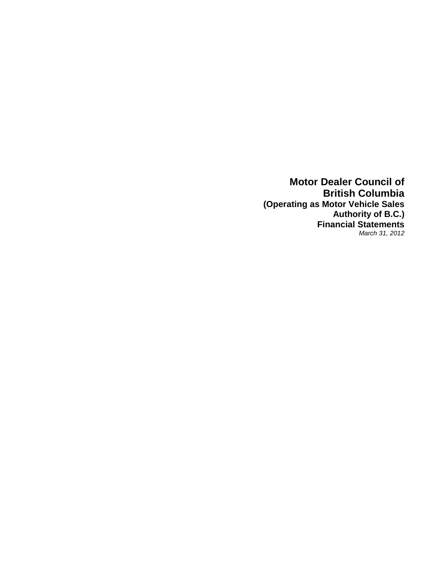**Motor Dealer Council of British Columbia (Operating as Motor Vehicle Sales Authority of B.C.) Financial Statements** *March 31, 2012*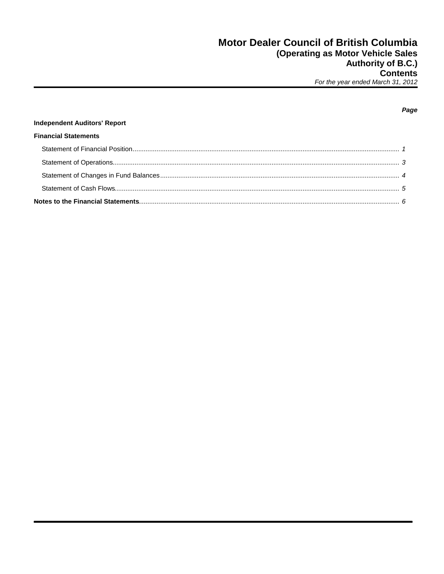| <b>Independent Auditors' Report</b> |  |
|-------------------------------------|--|
| <b>Financial Statements</b>         |  |
|                                     |  |
|                                     |  |
|                                     |  |
|                                     |  |
|                                     |  |

## Page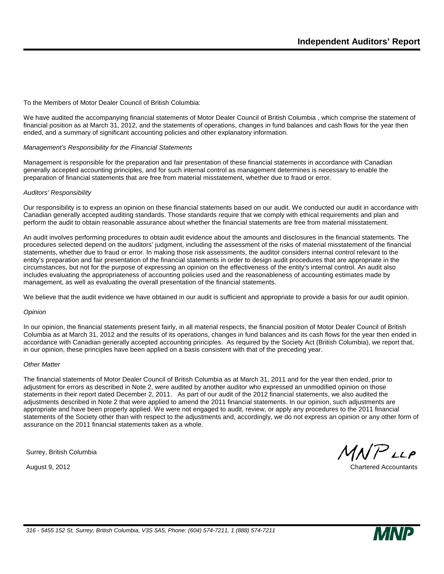To the Members of Motor Dealer Council of British Columbia:

We have audited the accompanying financial statements of Motor Dealer Council of British Columbia , which comprise the statement of financial position as at March 31, 2012, and the statements of operations, changes in fund balances and cash flows for the year then ended, and a summary of significant accounting policies and other explanatory information.

#### *Management's Responsibility for the Financial Statements*

Management is responsible for the preparation and fair presentation of these financial statements in accordance with Canadian generally accepted accounting principles, and for such internal control as management determines is necessary to enable the preparation of financial statements that are free from material misstatement, whether due to fraud or error.

#### *Auditors' Responsibility*

Our responsibility is to express an opinion on these financial statements based on our audit. We conducted our audit in accordance with Canadian generally accepted auditing standards. Those standards require that we comply with ethical requirements and plan and perform the audit to obtain reasonable assurance about whether the financial statements are free from material misstatement.

An audit involves performing procedures to obtain audit evidence about the amounts and disclosures in the financial statements. The procedures selected depend on the auditors' judgment, including the assessment of the risks of material misstatement of the financial statements, whether due to fraud or error. In making those risk assessments, the auditor considers internal control relevant to the entity's preparation and fair presentation of the financial statements in order to design audit procedures that are appropriate in the circumstances, but not for the purpose of expressing an opinion on the effectiveness of the entity's internal control. An audit also includes evaluating the appropriateness of accounting policies used and the reasonableness of accounting estimates made by management, as well as evaluating the overall presentation of the financial statements.

We believe that the audit evidence we have obtained in our audit is sufficient and appropriate to provide a basis for our audit opinion.

#### *Opinion*

In our opinion, the financial statements present fairly, in all material respects, the financial position of Motor Dealer Council of British Columbia as at March 31, 2012 and the results of its operations, changes in fund balances and its cash flows for the year then ended in accordance with Canadian generally accepted accounting principles. As required by the Society Act (British Columbia), we report that, in our opinion, these principles have been applied on a basis consistent with that of the preceding year.

#### *Other Matter*

The financial statements of Motor Dealer Council of British Columbia as at March 31, 2011 and for the year then ended, prior to adjustment for errors as described in Note 2, were audited by another auditor who expressed an unmodified opinion on those statements in their report dated December 2, 2011. As part of our audit of the 2012 financial statements, we also audited the adjustments described in Note 2 that were applied to amend the 2011 financial statements. In our opinion, such adjustments are appropriate and have been properly applied. We were not engaged to audit, review, or apply any procedures to the 2011 financial statements of the Society other than with respect to the adjustments and, accordingly, we do not express an opinion or any other form of assurance on the 2011 financial statements taken as a whole.

Surrey, British Columbia

 $MNP$ LLP

August 9, 2012 **Chartered Accountants** 

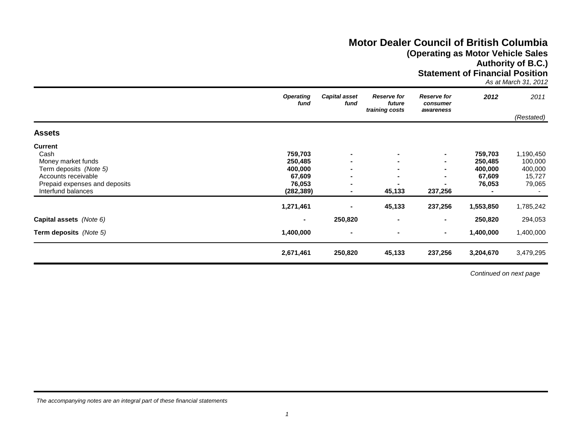## **Motor Dealer Council of British Columbia (Operating as Motor Vehicle Sales Authority of B.C.)**

**Statement of Financial Position**

*As at March 31, 2012*

|                                                                                                                                                      | <b>Operating</b><br>fund                                        | <b>Capital asset</b><br>fund                                         | <b>Reserve for</b><br>future<br>training costs | <b>Reserve for</b><br>consumer<br>awareness | 2012                                              | 2011                                                |
|------------------------------------------------------------------------------------------------------------------------------------------------------|-----------------------------------------------------------------|----------------------------------------------------------------------|------------------------------------------------|---------------------------------------------|---------------------------------------------------|-----------------------------------------------------|
|                                                                                                                                                      |                                                                 |                                                                      |                                                |                                             |                                                   | (Restated)                                          |
| <b>Assets</b>                                                                                                                                        |                                                                 |                                                                      |                                                |                                             |                                                   |                                                     |
| <b>Current</b><br>Cash<br>Money market funds<br>Term deposits (Note 5)<br>Accounts receivable<br>Prepaid expenses and deposits<br>Interfund balances | 759,703<br>250,485<br>400,000<br>67,609<br>76,053<br>(282, 389) | $\blacksquare$<br>$\blacksquare$<br>$\blacksquare$<br>$\blacksquare$ | ۰.<br>$\blacksquare$<br>45,133                 | $\sim$<br>237,256                           | 759,703<br>250,485<br>400,000<br>67,609<br>76,053 | 1,190,450<br>100,000<br>400,000<br>15,727<br>79,065 |
|                                                                                                                                                      | 1,271,461                                                       | $\blacksquare$                                                       | 45,133                                         | 237,256                                     | 1,553,850                                         | 1,785,242                                           |
| Capital assets (Note 6)                                                                                                                              | $\blacksquare$                                                  | 250,820                                                              | $\blacksquare$                                 | $\sim$                                      | 250,820                                           | 294,053                                             |
| <b>Term deposits</b> (Note 5)                                                                                                                        | 1,400,000                                                       | $\overline{\phantom{a}}$                                             |                                                | ۰.                                          | 1,400,000                                         | 1,400,000                                           |
|                                                                                                                                                      | 2,671,461                                                       | 250,820                                                              | 45,133                                         | 237,256                                     | 3,204,670                                         | 3,479,295                                           |

*Continued on next page*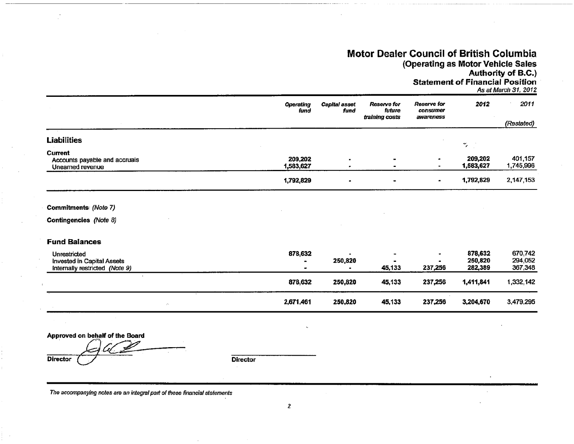## Motor Dealer Council of British Columbia (Operating as Motor Vehicle Sales Authority of B.C.)

**Statement of Financial Position** 

As at March 31, 2012

|                                                              | <b>Operating</b><br>fund | Capital asset<br>fund | <b>Reserve for</b><br>future<br>training costs | <b>Reserve for</b><br>consumer<br>awareness | 2012                 | 2011<br>(Restated)   |
|--------------------------------------------------------------|--------------------------|-----------------------|------------------------------------------------|---------------------------------------------|----------------------|----------------------|
| Liabilities                                                  |                          |                       |                                                |                                             | $\dddot{ }$          |                      |
| Current<br>Accounts payable and accruals<br>Unearned revenue | 209,202<br>1,583,627     | ٠                     |                                                |                                             | 209,202<br>1,583,627 | 401,157<br>1,745,996 |
|                                                              | 1,792,829                | $\blacksquare$        | $\blacksquare$                                 |                                             | 1,792,829            | 2,147,153            |

#### Commitments: (Note 7)

Contingencies (Note 8)

## **Fund Balances**

| Unrestricted<br>Invested in Capital Assets<br>Internally restricted (Note 9) | 878,632   | 250,820 | $\blacksquare$<br>45.133 | ۰.<br>237.256 | 878.632<br>250,820<br>282,389 | 670,742<br>294.052<br>367,348 |
|------------------------------------------------------------------------------|-----------|---------|--------------------------|---------------|-------------------------------|-------------------------------|
|                                                                              | 878,632   | 250,820 | 45,133                   | 237,256       | 1,411,841                     | 1,332,142                     |
| $\mathcal{L}^{\mathcal{A}}$                                                  | 2,671,461 | 250,820 | 45,133                   | 237,256       | 3,204,670                     | 3,479,295                     |

Approved on behalf of the Board

Director

**Director**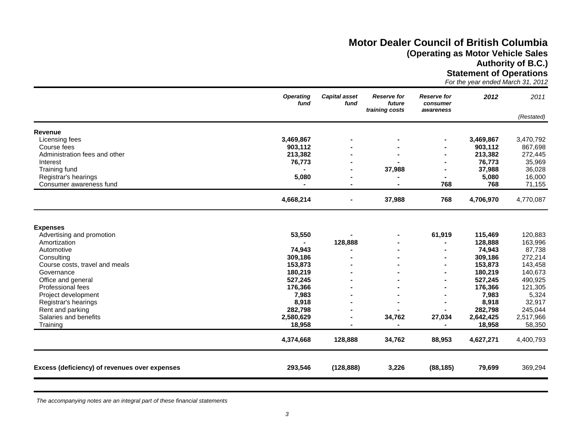# **Motor Dealer Council of British Columbia (Operating as Motor Vehicle Sales**

**Authority of B.C.)**

**Statement of Operations**

*For the year ended March 31, 2012*

| fund      | fund                                                                                                                                                   | future<br>training costs | <b>Reserve for</b><br>consumer<br>awareness | 2012                       | 2011                                                                                                                                                                         |
|-----------|--------------------------------------------------------------------------------------------------------------------------------------------------------|--------------------------|---------------------------------------------|----------------------------|------------------------------------------------------------------------------------------------------------------------------------------------------------------------------|
|           |                                                                                                                                                        |                          |                                             |                            | (Restated)                                                                                                                                                                   |
|           |                                                                                                                                                        |                          |                                             |                            |                                                                                                                                                                              |
|           |                                                                                                                                                        |                          |                                             |                            | 3,470,792                                                                                                                                                                    |
|           |                                                                                                                                                        |                          |                                             |                            | 867,698                                                                                                                                                                      |
| 213,382   |                                                                                                                                                        |                          |                                             | 213,382                    | 272,445                                                                                                                                                                      |
| 76,773    |                                                                                                                                                        |                          |                                             | 76,773                     | 35,969                                                                                                                                                                       |
|           |                                                                                                                                                        |                          |                                             | 37,988                     | 36,028                                                                                                                                                                       |
| 5,080     |                                                                                                                                                        |                          |                                             | 5,080                      | 16,000                                                                                                                                                                       |
|           |                                                                                                                                                        |                          | 768                                         | 768                        | 71,155                                                                                                                                                                       |
| 4,668,214 | -                                                                                                                                                      | 37,988                   | 768                                         | 4,706,970                  | 4,770,087                                                                                                                                                                    |
|           |                                                                                                                                                        |                          |                                             |                            |                                                                                                                                                                              |
|           |                                                                                                                                                        |                          |                                             |                            |                                                                                                                                                                              |
|           |                                                                                                                                                        |                          |                                             |                            | 120,883                                                                                                                                                                      |
|           |                                                                                                                                                        |                          |                                             |                            | 163,996                                                                                                                                                                      |
|           |                                                                                                                                                        |                          |                                             |                            | 87,738                                                                                                                                                                       |
|           |                                                                                                                                                        |                          |                                             |                            | 272,214                                                                                                                                                                      |
|           |                                                                                                                                                        |                          |                                             |                            | 143,458                                                                                                                                                                      |
|           |                                                                                                                                                        |                          |                                             |                            | 140,673                                                                                                                                                                      |
|           |                                                                                                                                                        |                          |                                             |                            | 490,925<br>121,305                                                                                                                                                           |
|           |                                                                                                                                                        |                          |                                             |                            | 5,324                                                                                                                                                                        |
|           |                                                                                                                                                        |                          |                                             |                            | 32,917                                                                                                                                                                       |
|           |                                                                                                                                                        |                          |                                             |                            | 245,044                                                                                                                                                                      |
|           |                                                                                                                                                        |                          |                                             |                            | 2,517,966                                                                                                                                                                    |
| 18,958    |                                                                                                                                                        |                          |                                             |                            | 58,350                                                                                                                                                                       |
|           |                                                                                                                                                        |                          |                                             |                            |                                                                                                                                                                              |
|           |                                                                                                                                                        |                          |                                             |                            | 4,400,793                                                                                                                                                                    |
| 293,546   | (128, 888)                                                                                                                                             | 3,226                    | (88, 185)                                   | 79,699                     | 369,294                                                                                                                                                                      |
|           | 3,469,867<br>903,112<br>53,550<br>74,943<br>309,186<br>153,873<br>180,219<br>527,245<br>176,366<br>7,983<br>8,918<br>282,798<br>2,580,629<br>4,374,668 | 128,888<br>128,888       | 37,988<br>34,762<br>34,762                  | 61,919<br>27,034<br>88,953 | 3,469,867<br>903,112<br>115,469<br>128,888<br>74,943<br>309,186<br>153,873<br>180,219<br>527,245<br>176,366<br>7,983<br>8,918<br>282,798<br>2,642,425<br>18,958<br>4,627,271 |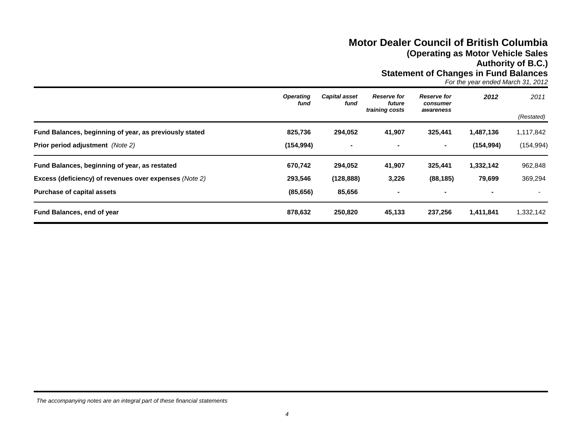## **Motor Dealer Council of British Columbia (Operating as Motor Vehicle Sales Authority of B.C.)**

**Statement of Changes in Fund Balances**

*For the year ended March 31, 2012*

|                                                                                                                                                     | <b>Operating</b><br>fund        | <b>Capital asset</b><br>fund    | <b>Reserve for</b><br>future<br>training costs | <b>Reserve for</b><br>consumer<br>awareness | 2012                                  | 2011<br>(Restated)      |
|-----------------------------------------------------------------------------------------------------------------------------------------------------|---------------------------------|---------------------------------|------------------------------------------------|---------------------------------------------|---------------------------------------|-------------------------|
| Fund Balances, beginning of year, as previously stated<br><b>Prior period adjustment</b> (Note 2)                                                   | 825,736<br>(154, 994)           | 294,052<br>$\blacksquare$       | 41,907                                         | 325,441<br>۰.                               | 1,487,136<br>(154, 994)               | 1,117,842<br>(154, 994) |
| Fund Balances, beginning of year, as restated<br><b>Excess (deficiency) of revenues over expenses (Note 2)</b><br><b>Purchase of capital assets</b> | 670,742<br>293,546<br>(85, 656) | 294,052<br>(128, 888)<br>85,656 | 41,907<br>3,226                                | 325,441<br>(88, 185)                        | 1,332,142<br>79,699<br>$\blacksquare$ | 962,848<br>369,294      |
| Fund Balances, end of year                                                                                                                          | 878,632                         | 250,820                         | 45,133                                         | 237,256                                     | 1,411,841                             | 1,332,142               |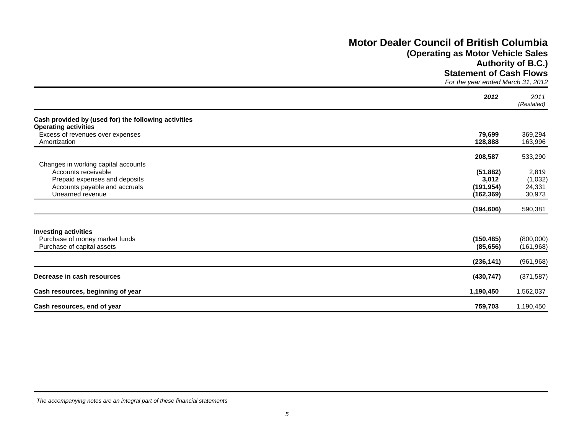# **Motor Dealer Council of British Columbia**

# **(Operating as Motor Vehicle Sales**

**Authority of B.C.)**

**Statement of Cash Flows**

*For the year ended March 31, 2012*

|                                                                                                           | 2012                                           | 2011<br>(Restated)                   |
|-----------------------------------------------------------------------------------------------------------|------------------------------------------------|--------------------------------------|
| Cash provided by (used for) the following activities<br><b>Operating activities</b>                       |                                                |                                      |
| Excess of revenues over expenses<br>Amortization                                                          | 79,699<br>128,888                              | 369,294<br>163,996                   |
| Changes in working capital accounts                                                                       | 208,587                                        | 533,290                              |
| Accounts receivable<br>Prepaid expenses and deposits<br>Accounts payable and accruals<br>Unearned revenue | (51, 882)<br>3,012<br>(191, 954)<br>(162, 369) | 2,819<br>(1,032)<br>24,331<br>30,973 |
|                                                                                                           | (194, 606)                                     | 590,381                              |
| <b>Investing activities</b><br>Purchase of money market funds<br>Purchase of capital assets               | (150, 485)<br>(85, 656)                        | (800,000)<br>(161, 968)              |
|                                                                                                           | (236, 141)                                     | (961, 968)                           |
| Decrease in cash resources                                                                                | (430, 747)                                     | (371, 587)                           |
| Cash resources, beginning of year                                                                         | 1,190,450                                      | 1,562,037                            |
| Cash resources, end of year                                                                               | 759,703                                        | 1,190,450                            |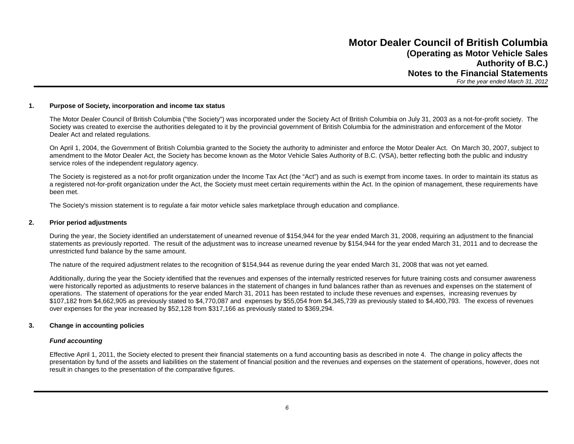#### **1. Purpose of Society, incorporation and income tax status**

The Motor Dealer Council of British Columbia ("the Society") was incorporated under the Society Act of British Columbia on July 31, 2003 as a not-for-profit society. The Society was created to exercise the authorities delegated to it by the provincial government of British Columbia for the administration and enforcement of the Motor Dealer Act and related regulations.

On April 1, 2004, the Government of British Columbia granted to the Society the authority to administer and enforce the Motor Dealer Act. On March 30, 2007, subject to amendment to the Motor Dealer Act, the Society has become known as the Motor Vehicle Sales Authority of B.C. (VSA), better reflecting both the public and industry service roles of the independent regulatory agency.

The Society is registered as a not-for profit organization under the Income Tax Act (the "Act") and as such is exempt from income taxes. In order to maintain its status as a registered not-for-profit organization under the Act, the Society must meet certain requirements within the Act. In the opinion of management, these requirements have been met.

The Society's mission statement is to regulate a fair motor vehicle sales marketplace through education and compliance.

#### **2. Prior period adjustments**

During the year, the Society identified an understatement of unearned revenue of \$154,944 for the year ended March 31, 2008, requiring an adjustment to the financial statements as previously reported. The result of the adjustment was to increase unearned revenue by \$154,944 for the year ended March 31, 2011 and to decrease the unrestricted fund balance by the same amount.

The nature of the required adjustment relates to the recognition of \$154,944 as revenue during the year ended March 31, 2008 that was not yet earned.

Additionally, during the year the Society identified that the revenues and expenses of the internally restricted reserves for future training costs and consumer awareness were historically reported as adjustments to reserve balances in the statement of changes in fund balances rather than as revenues and expenses on the statement of operations. The statement of operations for the year ended March 31, 2011 has been restated to include these revenues and expenses, increasing revenues by \$107,182 from \$4,662,905 as previously stated to \$4,770,087 and expenses by \$55,054 from \$4,345,739 as previously stated to \$4,400,793. The excess of revenues over expenses for the year increased by \$52,128 from \$317,166 as previously stated to \$369,294.

#### **3. Change in accounting policies**

#### *Fund accounting*

Effective April 1, 2011, the Society elected to present their financial statements on a fund accounting basis as described in note 4. The change in policy affects the presentation by fund of the assets and liabilities on the statement of financial position and the revenues and expenses on the statement of operations, however, does not result in changes to the presentation of the comparative figures.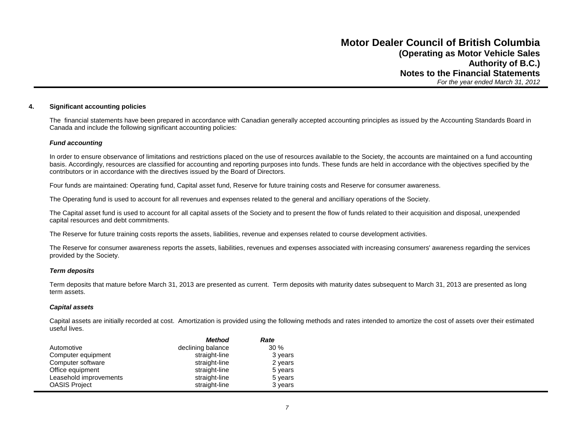#### **4. Significant accounting policies**

The financial statements have been prepared in accordance with Canadian generally accepted accounting principles as issued by the Accounting Standards Board in Canada and include the following significant accounting policies:

#### *Fund accounting*

In order to ensure observance of limitations and restrictions placed on the use of resources available to the Society, the accounts are maintained on a fund accounting basis. Accordingly, resources are classified for accounting and reporting purposes into funds. These funds are held in accordance with the objectives specified by the contributors or in accordance with the directives issued by the Board of Directors.

Four funds are maintained: Operating fund, Capital asset fund, Reserve for future training costs and Reserve for consumer awareness.

The Operating fund is used to account for all revenues and expenses related to the general and ancilliary operations of the Society.

The Capital asset fund is used to account for all capital assets of the Society and to present the flow of funds related to their acquisition and disposal, unexpended capital resources and debt commitments.

The Reserve for future training costs reports the assets, liabilities, revenue and expenses related to course development activities.

The Reserve for consumer awareness reports the assets, liabilities, revenues and expenses associated with increasing consumers' awareness regarding the services provided by the Society.

#### *Term deposits*

Term deposits that mature before March 31, 2013 are presented as current. Term deposits with maturity dates subsequent to March 31, 2013 are presented as long term assets.

#### *Capital assets*

Capital assets are initially recorded at cost. Amortization is provided using the following methods and rates intended to amortize the cost of assets over their estimated useful lives.

|                        | <b>Method</b>     | Rate    |
|------------------------|-------------------|---------|
| Automotive             | declining balance | $30\%$  |
| Computer equipment     | straight-line     | 3 years |
| Computer software      | straight-line     | 2 years |
| Office equipment       | straight-line     | 5 years |
| Leasehold improvements | straight-line     | 5 years |
| <b>OASIS Project</b>   | straight-line     | 3 years |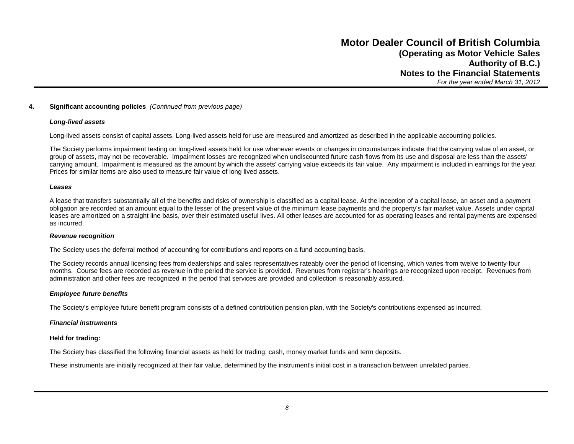#### **4. Significant accounting policies** *(Continued from previous page)*

#### *Long-lived assets*

Long-lived assets consist of capital assets. Long-lived assets held for use are measured and amortized as described in the applicable accounting policies.

The Society performs impairment testing on long-lived assets held for use whenever events or changes in circumstances indicate that the carrying value of an asset, or group of assets, may not be recoverable. Impairment losses are recognized when undiscounted future cash flows from its use and disposal are less than the assets' carrying amount. Impairment is measured as the amount by which the assets' carrying value exceeds its fair value. Any impairment is included in earnings for the year. Prices for similar items are also used to measure fair value of long lived assets.

#### *Leases*

A lease that transfers substantially all of the benefits and risks of ownership is classified as a capital lease. At the inception of a capital lease, an asset and a payment obligation are recorded at an amount equal to the lesser of the present value of the minimum lease payments and the property's fair market value. Assets under capital leases are amortized on a straight line basis, over their estimated useful lives. All other leases are accounted for as operating leases and rental payments are expensed as incurred.

#### *Revenue recognition*

The Society uses the deferral method of accounting for contributions and reports on a fund accounting basis.

The Society records annual licensing fees from dealerships and sales representatives rateably over the period of licensing, which varies from twelve to twenty-four months. Course fees are recorded as revenue in the period the service is provided. Revenues from registrar's hearings are recognized upon receipt. Revenues from administration and other fees are recognized in the period that services are provided and collection is reasonably assured.

#### *Employee future benefits*

The Society's employee future benefit program consists of a defined contribution pension plan, with the Society's contributions expensed as incurred.

#### *Financial instruments*

#### **Held for trading:**

The Society has classified the following financial assets as held for trading: cash, money market funds and term deposits.

These instruments are initially recognized at their fair value, determined by the instrument's initial cost in a transaction between unrelated parties.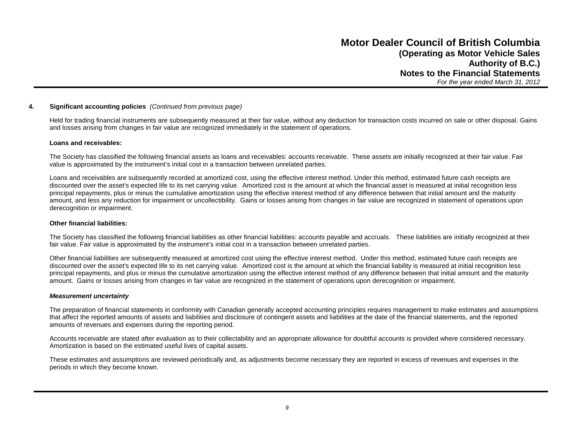#### **4. Significant accounting policies** *(Continued from previous page)*

Held for trading financial instruments are subsequently measured at their fair value, without any deduction for transaction costs incurred on sale or other disposal. Gains and losses arising from changes in fair value are recognized immediately in the statement of operations.

#### **Loans and receivables:**

The Society has classified the following financial assets as loans and receivables: accounts receivable. These assets are initially recognized at their fair value. Fair value is approximated by the instrument's initial cost in a transaction between unrelated parties.

Loans and receivables are subsequently recorded at amortized cost, using the effective interest method. Under this method, estimated future cash receipts are discounted over the asset's expected life to its net carrying value. Amortized cost is the amount at which the financial asset is measured at initial recognition less principal repayments, plus or minus the cumulative amortization using the effective interest method of any difference between that initial amount and the maturity amount, and less any reduction for impairment or uncollectibility. Gains or losses arising from changes in fair value are recognized in statement of operations upon derecognition or impairment.

#### **Other financial liabilities:**

The Society has classified the following financial liabilities as other financial liabilities: accounts payable and accruals. These liabilities are initially recognized at their fair value. Fair value is approximated by the instrument's initial cost in a transaction between unrelated parties.

Other financial liabilities are subsequently measured at amortized cost using the effective interest method. Under this method, estimated future cash receipts are discounted over the asset's expected life to its net carrying value. Amortized cost is the amount at which the financial liability is measured at initial recognition less principal repayments, and plus or minus the cumulative amortization using the effective interest method of any difference between that initial amount and the maturity amount. Gains or losses arising from changes in fair value are recognized in the statement of operations upon derecognition or impairment.

#### *Measurement uncertainty*

The preparation of financial statements in conformity with Canadian generally accepted accounting principles requires management to make estimates and assumptions that affect the reported amounts of assets and liabilities and disclosure of contingent assets and liabilities at the date of the financial statements, and the reported amounts of revenues and expenses during the reporting period.

Accounts receivable are stated after evaluation as to their collectability and an appropriate allowance for doubtful accounts is provided where considered necessary. Amortization is based on the estimated useful lives of capital assets.

These estimates and assumptions are reviewed periodically and, as adjustments become necessary they are reported in excess of revenues and expenses in the periods in which they become known.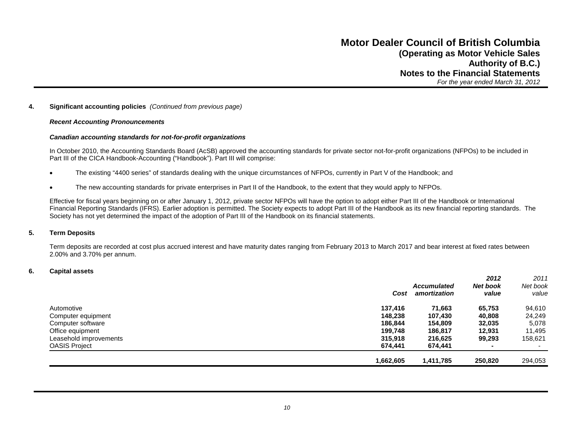#### **4. Significant accounting policies** *(Continued from previous page)*

#### *Recent Accounting Pronouncements*

#### *Canadian accounting standards for not-for-profit organizations*

In October 2010, the Accounting Standards Board (AcSB) approved the accounting standards for private sector not-for-profit organizations (NFPOs) to be included in Part III of the CICA Handbook-Accounting ("Handbook"). Part III will comprise:

- The existing "4400 series" of standards dealing with the unique circumstances of NFPOs, currently in Part V of the Handbook; and
- The new accounting standards for private enterprises in Part II of the Handbook, to the extent that they would apply to NFPOs.

Effective for fiscal years beginning on or after January 1, 2012, private sector NFPOs will have the option to adopt either Part III of the Handbook or International Financial Reporting Standards (IFRS). Earlier adoption is permitted. The Society expects to adopt Part III of the Handbook as its new financial reporting standards. The Society has not yet determined the impact of the adoption of Part III of the Handbook on its financial statements.

#### **5. Term Deposits**

Term deposits are recorded at cost plus accrued interest and have maturity dates ranging from February 2013 to March 2017 and bear interest at fixed rates between 2.00% and 3.70% per annum.

#### **6. Capital assets**

|                        |           |                    | 2012            | 2011     |
|------------------------|-----------|--------------------|-----------------|----------|
|                        |           | <b>Accumulated</b> | <b>Net book</b> | Net book |
|                        | Cost      | amortization       | value           | value    |
| Automotive             | 137.416   | 71,663             | 65,753          | 94,610   |
| Computer equipment     | 148.238   | 107,430            | 40.808          | 24,249   |
| Computer software      | 186,844   | 154.809            | 32,035          | 5,078    |
| Office equipment       | 199.748   | 186,817            | 12,931          | 11,495   |
| Leasehold improvements | 315,918   | 216,625            | 99,293          | 158,621  |
| <b>OASIS Project</b>   | 674,441   | 674,441            | $\blacksquare$  |          |
|                        | 1,662,605 | 1,411,785          | 250,820         | 294,053  |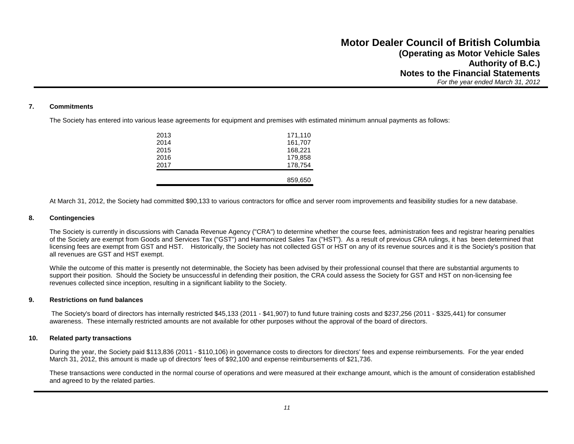#### **7. Commitments**

The Society has entered into various lease agreements for equipment and premises with estimated minimum annual payments as follows:

| 2013 | 171,110 |
|------|---------|
| 2014 | 161,707 |
| 2015 | 168,221 |
| 2016 | 179.858 |
| 2017 | 178,754 |
|      |         |
|      | 859,650 |
|      |         |

At March 31, 2012, the Society had committed \$90,133 to various contractors for office and server room improvements and feasibility studies for a new database.

#### **8. Contingencies**

The Society is currently in discussions with Canada Revenue Agency ("CRA") to determine whether the course fees, administration fees and registrar hearing penalties of the Society are exempt from Goods and Services Tax ("GST") and Harmonized Sales Tax ("HST"). As a result of previous CRA rulings, it has been determined that licensing fees are exempt from GST and HST. Historically, the Society has not collected GST or HST on any of its revenue sources and it is the Society's position that all revenues are GST and HST exempt.

While the outcome of this matter is presently not determinable, the Society has been advised by their professional counsel that there are substantial arguments to support their position. Should the Society be unsuccessful in defending their position, the CRA could assess the Society for GST and HST on non-licensing fee revenues collected since inception, resulting in a significant liability to the Society.

#### **9. Restrictions on fund balances**

The Society's board of directors has internally restricted \$45,133 (2011 - \$41,907) to fund future training costs and \$237,256 (2011 - \$325,441) for consumer awareness. These internally restricted amounts are not available for other purposes without the approval of the board of directors.

#### **10. Related party transactions**

During the year, the Society paid \$113,836 (2011 - \$110,106) in governance costs to directors for directors' fees and expense reimbursements. For the year ended March 31, 2012, this amount is made up of directors' fees of \$92,100 and expense reimbursements of \$21,736.

These transactions were conducted in the normal course of operations and were measured at their exchange amount, which is the amount of consideration established and agreed to by the related parties.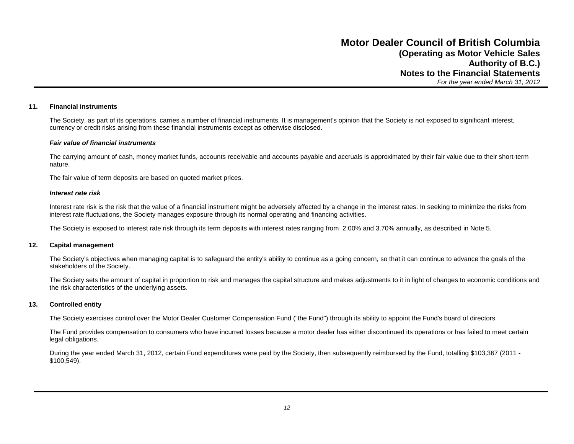#### **11. Financial instruments**

The Society, as part of its operations, carries a number of financial instruments. It is management's opinion that the Society is not exposed to significant interest, currency or credit risks arising from these financial instruments except as otherwise disclosed.

#### *Fair value of financial instruments*

The carrying amount of cash, money market funds, accounts receivable and accounts payable and accruals is approximated by their fair value due to their short-term nature.

The fair value of term deposits are based on quoted market prices.

#### *Interest rate risk*

Interest rate risk is the risk that the value of a financial instrument might be adversely affected by a change in the interest rates. In seeking to minimize the risks from interest rate fluctuations, the Society manages exposure through its normal operating and financing activities.

The Society is exposed to interest rate risk through its term deposits with interest rates ranging from 2.00% and 3.70% annually, as described in Note 5.

#### **12. Capital management**

The Society's objectives when managing capital is to safeguard the entity's ability to continue as a going concern, so that it can continue to advance the goals of the stakeholders of the Society.

The Society sets the amount of capital in proportion to risk and manages the capital structure and makes adjustments to it in light of changes to economic conditions and the risk characteristics of the underlying assets.

#### **13. Controlled entity**

The Society exercises control over the Motor Dealer Customer Compensation Fund ("the Fund") through its ability to appoint the Fund's board of directors.

The Fund provides compensation to consumers who have incurred losses because a motor dealer has either discontinued its operations or has failed to meet certain legal obligations.

During the year ended March 31, 2012, certain Fund expenditures were paid by the Society, then subsequently reimbursed by the Fund, totalling \$103,367 (2011 - \$100,549).